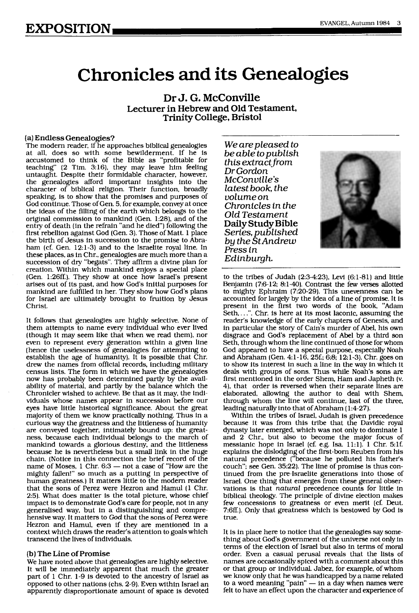## **Chronicles and its Genealogies**

**DrJ. G. Mcconville Lecturer in Hebrew and Old Testament, Trinity College, Bristol** 

## **(a) End.less Genealogies?**

The modem reader, if he approaches biblical genealogies at all, does so with some bewilderment. If he is accustomed to think of the Bible as "profitable for teaching" (2 Tim. 3:16), they may leave him feeling untaught. Despite their formidable character, however, the genealogies afford important insights into the character of biblical religion. Their function, broadly speaking, is to show that the promises and purposes of God continue. Those of Gen. 5, for example, convey at once the ideas of the filling of the earth which belongs to the original commission to mankind (Gen. 1:28), and of the entiy of death (in the refrain "and he died") following the first rebellion against God (Gen. 3). Those of Matt. 1 place the birth of Jesus in succession to the promise to Abraham (cf. Gen. 12:1-3) and to the Israelite royal line. In these places, as in Chr., genealogies are much more than a succession of dry "begats". They affirm a divine plan for creation. Within which mankind enjoys a special place (Gen. l:26ff.). They show at once how Israel's present arises out of its past. and how God's initial purposes for mankind are fulfilled in her. They show how God's plans for Israel are ultimately brought to fruition by Jesus Christ

It follows that genealogies are highly selective. None of them attempts to name every individual who ever lived (though it may seem like that when we read them), nor even to represent every generation within a given line (hence the uselessness of genealogies for attempting to establish the age of humanity). It is possible that Chr. drew the names from official records, including military census lists. The form in which we have the genealogies now has probably been determined partly by the availability of material, and partly by the balance which the Chronicler wished to achieve. Be that as it may, the individuals whose names appear in succession before our eyes have little historical significance. About the great majority of them we know practically nothing. Thus in a curious way the greatness and the littleness of humanity are conveyed together, intimately bound up: the greatness, because each individual belongs to the march of mankind towards a glorious destiny, and the littleness because he is nevertheless but a small link in the huge chain. (Notice in this connection the brief record of the name of Moses,  $1 \text{ Chr. } 6:3 - \text{not a case of "How are the}$ mighty fallen!" so much as a putting in perspective of human greatness.) It matters little to the modem reader that the sons of Perez were Hezron and Hamul (1 Chr. 2:5). What does matter is the total picture, whose chief impact is to demonstrate God's care for people, not in any generalised way, but in a distinguishing and comprehensive way. It matters to *God* that the sons of Perez were Hezron and Hamul, even if they are mentioned in a context which draws the reader's attention to goals which transcend the lives of individuals.

## **(b) The Line of Promise**

We have noted above that genealogies are highly selective. It will be immediately apparent that much the greater part of 1 Chr. 1-9 is devoted to the ancestry of Israel as opposed to other nations (chs. 2-9). Even within Israel an apparently disproportionate amount of space is devoted

We are pleased to be able to publish this extract from DrGordon McConville's latest book, the volumeon Chronicles in the Old Testament **Daily Study Bible**  Series, published by the StAndrew Pressin Edinburgh.



to the tribes of Judah (2:3-4:23), Levi (6:1-81) and little Benjamin (7:6-12; 8:1-40). Contrast the few verses allotted to mighty Ephraim (7:20-29). This unevenness can be accounted for largely by the idea of a line of promise. It is present in the first two words of the book, "Adam Seth, ...". Chr. is here at its most laconic, assuming the reader's knowledge of the early chapters of Genesis, and in particular the story of Cain's murder of Abel, his own disgrace and God's replacement of Abel by a third son Seth, through whom the line continued of those for whom God appeared to have a special purpose, especially Noah and Abraham (Gen. 4:1-16, 25f.; 6:8; 12:1-3). Chr. goes on to show its interest in such a line in the way in which it deals with groups of sons. Thus while Noah's sons are first mentioned in the order Shem, Ham and Japheth (v. 4), that order is reversed when their separate lines are elaborated, allowing the author to deal with Shem, through whom the line will continue, last of the three, leading naturally into that of Abraham ( 1:4-27).

Within the tribes of Israel, Judah is given precedence because it was from this tribe that the Davidic royal dynasty later emerged, which was not only to dominate 1 and 2 Chr., but also to become the major focus of messianic hope in Israel (cf. e.g. Isa. 11:1). 1 Chr. 5:lf. explains the dislodging of the first-born Reuben from his natural precedence ("because he polluted his father's couch"; see Gen. 35:22). The line of promise is thus continued from the pre-Israelite generations into those of Israel. One thing that emerges from these general observations is that natural precedence counts for little in biblical theology. The principle of divine election makes few concessions to greatness or even merit (cf. Deut. 7:6ff.). Only that greatness which is bestowed by God is true.

It is in place here to notice that the genealogies say something about God's government of the universe not only in terms of the election of Israel but also in terms of moral order. Even a casual perusal reveals that the lists of names are occasionally spiced with a comment about this or that group or individual. Jabez, for example, of whom we know only that he was handicapped by a name related to a word meaning "pain" - in a day when names were felt to have an effect upon the character and experience of